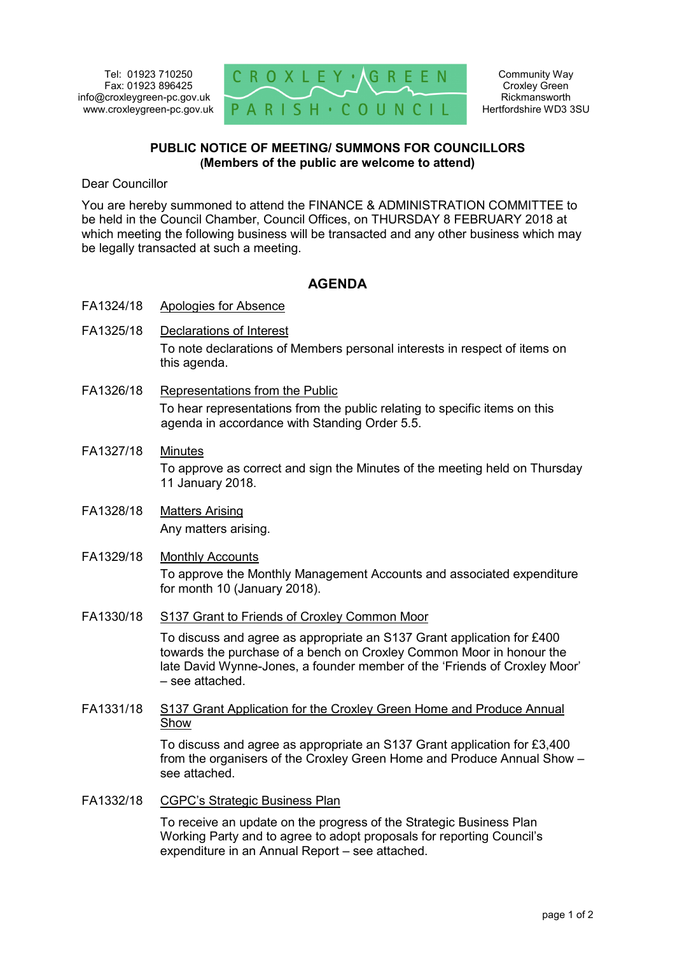

## **PUBLIC NOTICE OF MEETING/ SUMMONS FOR COUNCILLORS (Members of the public are welcome to attend)**

Dear Councillor

You are hereby summoned to attend the FINANCE & ADMINISTRATION COMMITTEE to be held in the Council Chamber, Council Offices, on THURSDAY 8 FEBRUARY 2018 at which meeting the following business will be transacted and any other business which may be legally transacted at such a meeting.

## **AGENDA**

- FA1324/18 Apologies for Absence
- FA1325/18 Declarations of Interest To note declarations of Members personal interests in respect of items on this agenda.
- FA1326/18 Representations from the Public To hear representations from the public relating to specific items on this agenda in accordance with Standing Order 5.5.
- FA1327/18 Minutes To approve as correct and sign the Minutes of the meeting held on Thursday 11 January 2018.
- FA1328/18 Matters Arising Any matters arising.
- FA1329/18 Monthly Accounts To approve the Monthly Management Accounts and associated expenditure for month 10 (January 2018).
- FA1330/18 S137 Grant to Friends of Croxley Common Moor

To discuss and agree as appropriate an S137 Grant application for £400 towards the purchase of a bench on Croxley Common Moor in honour the late David Wynne-Jones, a founder member of the 'Friends of Croxley Moor' – see attached.

FA1331/18 S137 Grant Application for the Croxley Green Home and Produce Annual Show

> To discuss and agree as appropriate an S137 Grant application for £3,400 from the organisers of the Croxley Green Home and Produce Annual Show – see attached.

FA1332/18 CGPC's Strategic Business Plan

To receive an update on the progress of the Strategic Business Plan Working Party and to agree to adopt proposals for reporting Council's expenditure in an Annual Report – see attached.